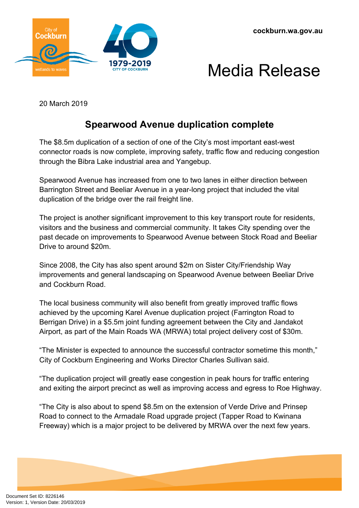



20 March 2019

## **Spearwood Avenue duplication complete**

The \$8.5m duplication of a section of one of the City's most important east-west connector roads is now complete, improving safety, traffic flow and reducing congestion through the Bibra Lake industrial area and Yangebup.

Spearwood Avenue has increased from one to two lanes in either direction between Barrington Street and Beeliar Avenue in a year-long project that included the vital duplication of the bridge over the rail freight line.

The project is another significant improvement to this key transport route for residents, visitors and the business and commercial community. It takes City spending over the past decade on improvements to Spearwood Avenue between Stock Road and Beeliar Drive to around \$20m.

Since 2008, the City has also spent around \$2m on Sister City/Friendship Way improvements and general landscaping on Spearwood Avenue between Beeliar Drive and Cockburn Road.

The local business community will also benefit from greatly improved traffic flows achieved by the upcoming Karel Avenue duplication project (Farrington Road to Berrigan Drive) in a \$5.5m joint funding agreement between the City and Jandakot Airport, as part of the Main Roads WA (MRWA) total project delivery cost of \$30m.

"The Minister is expected to announce the successful contractor sometime this month," City of Cockburn Engineering and Works Director Charles Sullivan said.

"The duplication project will greatly ease congestion in peak hours for traffic entering and exiting the airport precinct as well as improving access and egress to Roe Highway.

"The City is also about to spend \$8.5m on the extension of Verde Drive and Prinsep Road to connect to the Armadale Road upgrade project (Tapper Road to Kwinana Freeway) which is a major project to be delivered by MRWA over the next few years.